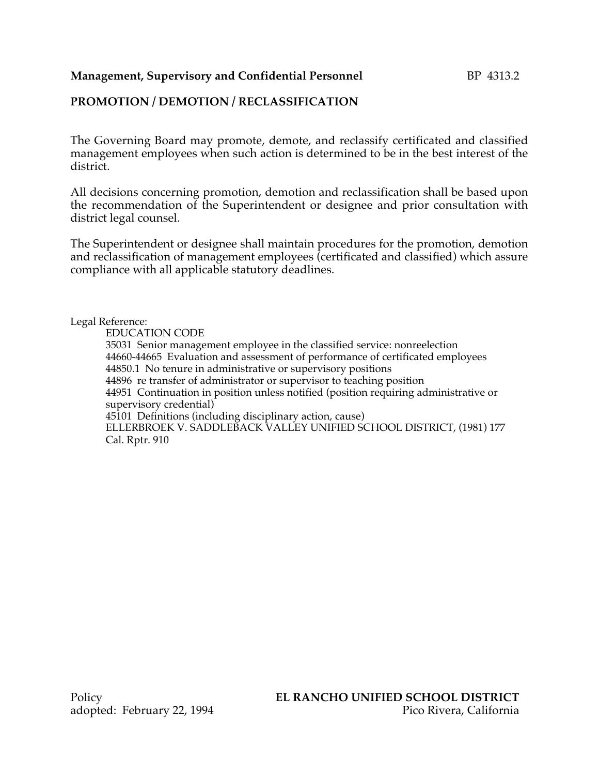#### **Management, Supervisory and Confidential Personnel BP 4313.2**

### **PROMOTION / DEMOTION / RECLASSIFICATION**

The Governing Board may promote, demote, and reclassify certificated and classified management employees when such action is determined to be in the best interest of the district.

All decisions concerning promotion, demotion and reclassification shall be based upon the recommendation of the Superintendent or designee and prior consultation with district legal counsel.

The Superintendent or designee shall maintain procedures for the promotion, demotion and reclassification of management employees (certificated and classified) which assure compliance with all applicable statutory deadlines.

Legal Reference:

EDUCATION CODE 35031 Senior management employee in the classified service: nonreelection 44660-44665 Evaluation and assessment of performance of certificated employees 44850.1 No tenure in administrative or supervisory positions 44896 re transfer of administrator or supervisor to teaching position 44951 Continuation in position unless notified (position requiring administrative or supervisory credential) 45101 Definitions (including disciplinary action, cause) ELLERBROEK V. SADDLEBACK VALLEY UNIFIED SCHOOL DISTRICT, (1981) 177 Cal. Rptr. 910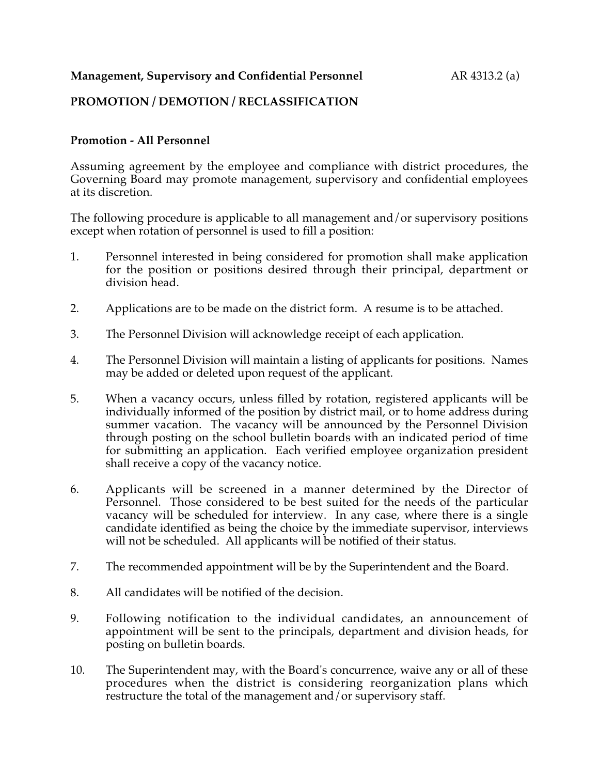### **Management, Supervisory and Confidential Personnel** AR 4313.2 (a)

## **PROMOTION / DEMOTION / RECLASSIFICATION**

#### **Promotion - All Personnel**

Assuming agreement by the employee and compliance with district procedures, the Governing Board may promote management, supervisory and confidential employees at its discretion.

The following procedure is applicable to all management and/or supervisory positions except when rotation of personnel is used to fill a position:

- 1. Personnel interested in being considered for promotion shall make application for the position or positions desired through their principal, department or division head.
- 2. Applications are to be made on the district form. A resume is to be attached.
- 3. The Personnel Division will acknowledge receipt of each application.
- 4. The Personnel Division will maintain a listing of applicants for positions. Names may be added or deleted upon request of the applicant.
- 5. When a vacancy occurs, unless filled by rotation, registered applicants will be individually informed of the position by district mail, or to home address during summer vacation. The vacancy will be announced by the Personnel Division through posting on the school bulletin boards with an indicated period of time for submitting an application. Each verified employee organization president shall receive a copy of the vacancy notice.
- 6. Applicants will be screened in a manner determined by the Director of Personnel. Those considered to be best suited for the needs of the particular vacancy will be scheduled for interview. In any case, where there is a single candidate identified as being the choice by the immediate supervisor, interviews will not be scheduled. All applicants will be notified of their status.
- 7. The recommended appointment will be by the Superintendent and the Board.
- 8. All candidates will be notified of the decision.
- 9. Following notification to the individual candidates, an announcement of appointment will be sent to the principals, department and division heads, for posting on bulletin boards.
- 10. The Superintendent may, with the Board's concurrence, waive any or all of these procedures when the district is considering reorganization plans which restructure the total of the management and/or supervisory staff.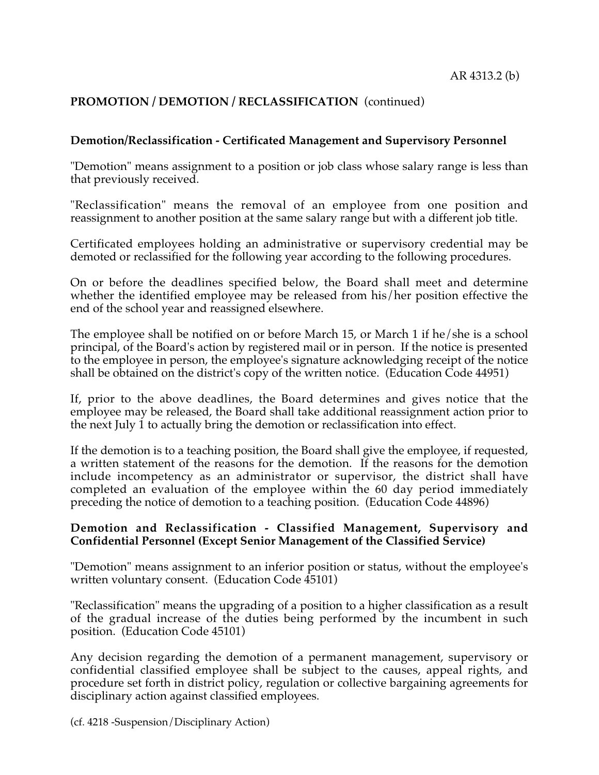# **PROMOTION / DEMOTION / RECLASSIFICATION** (continued)

#### **Demotion/Reclassification - Certificated Management and Supervisory Personnel**

"Demotion" means assignment to a position or job class whose salary range is less than that previously received.

"Reclassification" means the removal of an employee from one position and reassignment to another position at the same salary range but with a different job title.

Certificated employees holding an administrative or supervisory credential may be demoted or reclassified for the following year according to the following procedures.

On or before the deadlines specified below, the Board shall meet and determine whether the identified employee may be released from his/her position effective the end of the school year and reassigned elsewhere.

The employee shall be notified on or before March 15, or March 1 if he/she is a school principal, of the Board's action by registered mail or in person. If the notice is presented to the employee in person, the employee's signature acknowledging receipt of the notice shall be obtained on the district's copy of the written notice. (Education Code 44951)

If, prior to the above deadlines, the Board determines and gives notice that the employee may be released, the Board shall take additional reassignment action prior to the next July 1 to actually bring the demotion or reclassification into effect.

If the demotion is to a teaching position, the Board shall give the employee, if requested, a written statement of the reasons for the demotion. If the reasons for the demotion include incompetency as an administrator or supervisor, the district shall have completed an evaluation of the employee within the 60 day period immediately preceding the notice of demotion to a teaching position. (Education Code 44896)

#### **Demotion and Reclassification - Classified Management, Supervisory and Confidential Personnel (Except Senior Management of the Classified Service)**

"Demotion" means assignment to an inferior position or status, without the employee's written voluntary consent. (Education Code 45101)

"Reclassification" means the upgrading of a position to a higher classification as a result of the gradual increase of the duties being performed by the incumbent in such position. (Education Code 45101)

Any decision regarding the demotion of a permanent management, supervisory or confidential classified employee shall be subject to the causes, appeal rights, and procedure set forth in district policy, regulation or collective bargaining agreements for disciplinary action against classified employees.

(cf. 4218 -Suspension/Disciplinary Action)